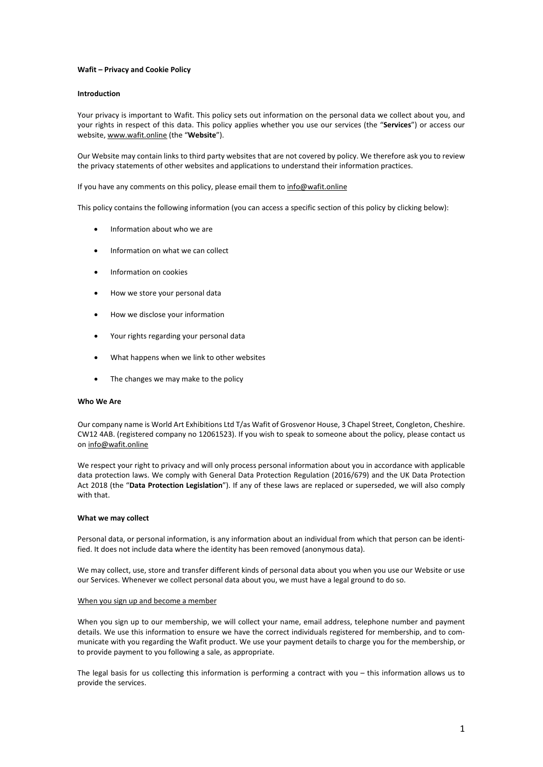# **Wafit – Privacy and Cookie Policy**

# **Introduction**

Your privacy is important to Wafit. This policy sets out information on the personal data we collect about you, and your rights in respect of this data. This policy applies whether you use our services (the "**Services**") or access our website, [www.wafit.online](http://www.wafit.online/) (the "**Website**").

Our Website may contain links to third party websites that are not covered by policy. We therefore ask you to review the privacy statements of other websites and applications to understand their information practices.

If you have any comments on this policy, please email them to [info@wafit.online](mailto:info@wafit.online)

This policy contains the following information (you can access a specific section of this policy by clicking below):

- Information about who we are
- Information on what we can collect
- Information on cookies
- How we store your personal data
- How we disclose your information
- Your rights regarding your personal data
- What happens when we link to other websites
- The changes we may make to the policy

### **Who We Are**

Our company name is World Art Exhibitions Ltd T/as Wafit of Grosvenor House, 3 Chapel Street, Congleton, Cheshire. CW12 4AB. (registered company no 12061523). If you wish to speak to someone about the policy, please contact us on [info@wafit.online](mailto:info@wafit.online)

We respect your right to privacy and will only process personal information about you in accordance with applicable data protection laws. We comply with General Data Protection Regulation (2016/679) and the UK Data Protection Act 2018 (the "**Data Protection Legislation**"). If any of these laws are replaced or superseded, we will also comply with that.

### **What we may collect**

Personal data, or personal information, is any information about an individual from which that person can be identified. It does not include data where the identity has been removed (anonymous data).

We may collect, use, store and transfer different kinds of personal data about you when you use our Website or use our Services. Whenever we collect personal data about you, we must have a legal ground to do so.

### When you sign up and become a member

When you sign up to our membership, we will collect your name, email address, telephone number and payment details. We use this information to ensure we have the correct individuals registered for membership, and to communicate with you regarding the Wafit product. We use your payment details to charge you for the membership, or to provide payment to you following a sale, as appropriate.

The legal basis for us collecting this information is performing a contract with you – this information allows us to provide the services.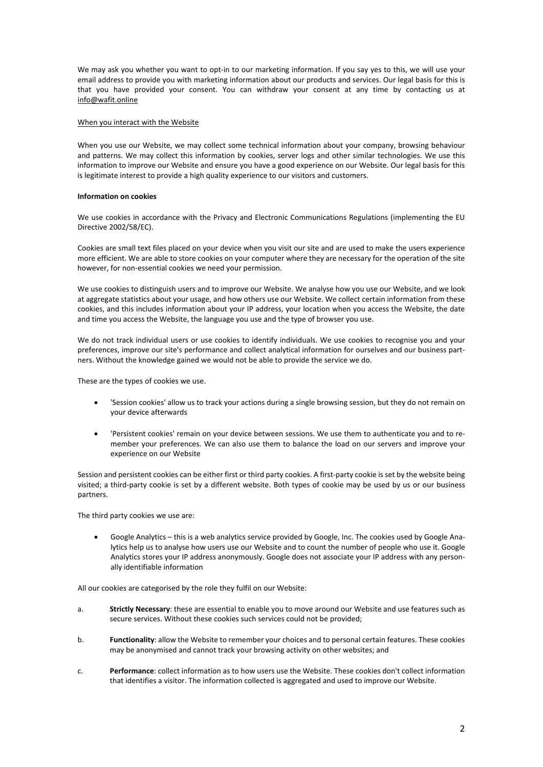We may ask you whether you want to opt-in to our marketing information. If you say yes to this, we will use your email address to provide you with marketing information about our products and services. Our legal basis for this is that you have provided your consent. You can withdraw your consent at any time by contacting us at [info@wafit.online](mailto:info@wafit.online)

# When you interact with the Website

When you use our Website, we may collect some technical information about your company, browsing behaviour and patterns. We may collect this information by cookies, server logs and other similar technologies. We use this information to improve our Website and ensure you have a good experience on our Website. Our legal basis for this is legitimate interest to provide a high quality experience to our visitors and customers.

# **Information on cookies**

We use cookies in accordance with the Privacy and Electronic Communications Regulations (implementing the EU Directive 2002/58/EC).

Cookies are small text files placed on your device when you visit our site and are used to make the users experience more efficient. We are able to store cookies on your computer where they are necessary for the operation of the site however, for non-essential cookies we need your permission.

We use cookies to distinguish users and to improve our Website. We analyse how you use our Website, and we look at aggregate statistics about your usage, and how others use our Website. We collect certain information from these cookies, and this includes information about your IP address, your location when you access the Website, the date and time you access the Website, the language you use and the type of browser you use.

We do not track individual users or use cookies to identify individuals. We use cookies to recognise you and your preferences, improve our site's performance and collect analytical information for ourselves and our business partners. Without the knowledge gained we would not be able to provide the service we do.

These are the types of cookies we use.

- 'Session cookies' allow us to track your actions during a single browsing session, but they do not remain on your device afterwards
- 'Persistent cookies' remain on your device between sessions. We use them to authenticate you and to remember your preferences. We can also use them to balance the load on our servers and improve your experience on our Website

Session and persistent cookies can be either first or third party cookies. A first-party cookie is set by the website being visited; a third-party cookie is set by a different website. Both types of cookie may be used by us or our business partners.

The third party cookies we use are:

• Google Analytics – this is a web analytics service provided by Google, Inc. The cookies used by Google Analytics help us to analyse how users use our Website and to count the number of people who use it. Google Analytics stores your IP address anonymously. Google does not associate your IP address with any personally identifiable information

All our cookies are categorised by the role they fulfil on our Website:

- a. **Strictly Necessary**: these are essential to enable you to move around our Website and use features such as secure services. Without these cookies such services could not be provided;
- b. **Functionality**: allow the Website to remember your choices and to personal certain features. These cookies may be anonymised and cannot track your browsing activity on other websites; and
- c. **Performance**: collect information as to how users use the Website. These cookies don't collect information that identifies a visitor. The information collected is aggregated and used to improve our Website.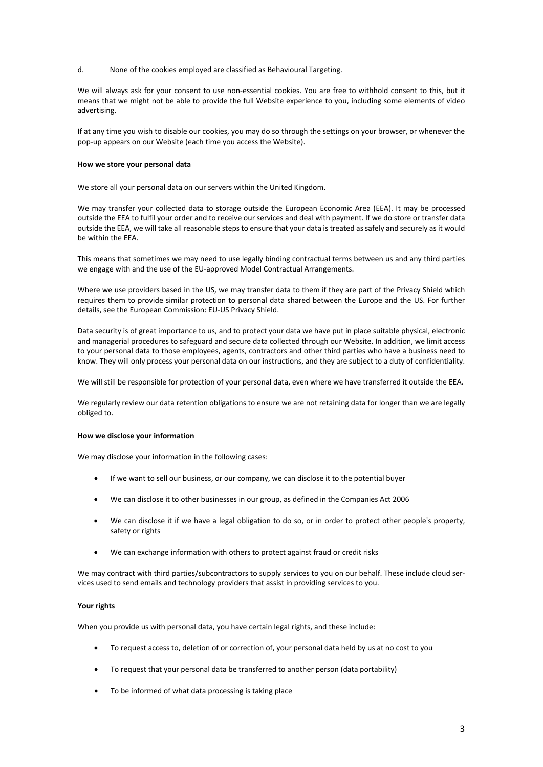d. None of the cookies employed are classified as Behavioural Targeting.

We will always ask for your consent to use non-essential cookies. You are free to withhold consent to this, but it means that we might not be able to provide the full Website experience to you, including some elements of video advertising.

If at any time you wish to disable our cookies, you may do so through the settings on your browser, or whenever the pop-up appears on our Website (each time you access the Website).

### **How we store your personal data**

We store all your personal data on our servers within the United Kingdom.

We may transfer your collected data to storage outside the European Economic Area (EEA). It may be processed outside the EEA to fulfil your order and to receive our services and deal with payment. If we do store or transfer data outside the EEA, we will take all reasonable steps to ensure that your data is treated as safely and securely as it would be within the EEA.

This means that sometimes we may need to use legally binding contractual terms between us and any third parties we engage with and the use of the EU-approved Model Contractual Arrangements.

Where we use providers based in the US, we may transfer data to them if they are part of the Privacy Shield which requires them to provide similar protection to personal data shared between the Europe and the US. For further details, see the European Commission: EU-US Privacy Shield.

Data security is of great importance to us, and to protect your data we have put in place suitable physical, electronic and managerial procedures to safeguard and secure data collected through our Website. In addition, we limit access to your personal data to those employees, agents, contractors and other third parties who have a business need to know. They will only process your personal data on our instructions, and they are subject to a duty of confidentiality.

We will still be responsible for protection of your personal data, even where we have transferred it outside the EEA.

We regularly review our data retention obligations to ensure we are not retaining data for longer than we are legally obliged to.

### **How we disclose your information**

We may disclose your information in the following cases:

- If we want to sell our business, or our company, we can disclose it to the potential buyer
- We can disclose it to other businesses in our group, as defined in the Companies Act 2006
- We can disclose it if we have a legal obligation to do so, or in order to protect other people's property, safety or rights
- We can exchange information with others to protect against fraud or credit risks

We may contract with third parties/subcontractors to supply services to you on our behalf. These include cloud services used to send emails and technology providers that assist in providing services to you.

# **Your rights**

When you provide us with personal data, you have certain legal rights, and these include:

- To request access to, deletion of or correction of, your personal data held by us at no cost to you
- To request that your personal data be transferred to another person (data portability)
- To be informed of what data processing is taking place